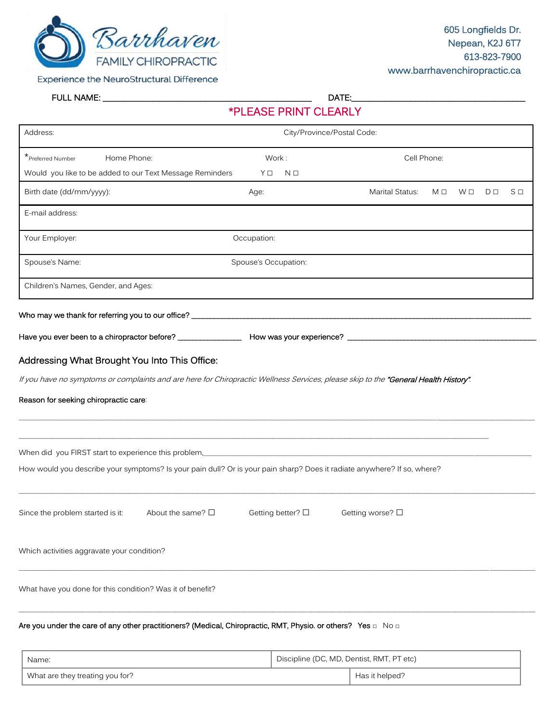

**Experience the NeuroStructural Difference** 

FULL NAME: \_\_\_\_\_\_\_\_\_\_\_\_\_\_\_\_\_\_\_\_\_\_\_\_\_\_\_\_\_\_\_\_\_\_\_\_\_\_\_\_\_\_\_\_\_\_\_\_\_ DATE:\_\_\_\_\_\_\_\_\_\_\_\_\_\_\_\_\_\_\_\_\_\_\_\_\_\_\_\_\_\_\_\_\_\_\_\_\_\_\_\_\_

\*PLEASE PRINT CLEARLY

| Address:                                                                                                                            | City/Province/Postal Code: |  |                        |             |          |                |          |  |
|-------------------------------------------------------------------------------------------------------------------------------------|----------------------------|--|------------------------|-------------|----------|----------------|----------|--|
| *Preferred Number<br>Home Phone:                                                                                                    | Work:                      |  |                        | Cell Phone: |          |                |          |  |
| Would you like to be added to our Text Message Reminders                                                                            | YO NO                      |  |                        |             |          |                |          |  |
| Birth date (dd/mm/yyyy):                                                                                                            | Age:                       |  | <b>Marital Status:</b> | MП          | $W \Box$ | D <sub>0</sub> | $S \Box$ |  |
| E-mail address:                                                                                                                     |                            |  |                        |             |          |                |          |  |
| Your Employer:                                                                                                                      | Occupation:                |  |                        |             |          |                |          |  |
| Spouse's Name:<br>Spouse's Occupation:                                                                                              |                            |  |                        |             |          |                |          |  |
| Children's Names, Gender, and Ages:                                                                                                 |                            |  |                        |             |          |                |          |  |
|                                                                                                                                     |                            |  |                        |             |          |                |          |  |
|                                                                                                                                     |                            |  |                        |             |          |                |          |  |
| Addressing What Brought You Into This Office:                                                                                       |                            |  |                        |             |          |                |          |  |
| If you have no symptoms or complaints and are here for Chiropractic Wellness Services, please skip to the "General Health History". |                            |  |                        |             |          |                |          |  |
| Reason for seeking chiropractic care:                                                                                               |                            |  |                        |             |          |                |          |  |
|                                                                                                                                     |                            |  |                        |             |          |                |          |  |
| When did you FIRST start to experience this problem, Martin Martin Martin Martin Martin Martin Martin Martin Ma                     |                            |  |                        |             |          |                |          |  |
| How would you describe your symptoms? Is your pain dull? Or is your pain sharp? Does it radiate anywhere? If so, where?             |                            |  |                        |             |          |                |          |  |
|                                                                                                                                     |                            |  |                        |             |          |                |          |  |
| About the same? $\square$<br>Since the problem started is it:                                                                       | Getting better? □          |  | Getting worse? □       |             |          |                |          |  |
| Which activities aggravate your condition?                                                                                          |                            |  |                        |             |          |                |          |  |
| What have you done for this condition? Was it of benefit?                                                                           |                            |  |                        |             |          |                |          |  |
|                                                                                                                                     |                            |  |                        |             |          |                |          |  |

Are you under the care of any other practitioners? (Medical, Chiropractic, RMT, Physio. or others?  $\,$  Yes  $_{\square}$   $\,$  No  $_{\square}$ 

| Name:                           | Discipline (DC, MD, Dentist, RMT, PT etc) |
|---------------------------------|-------------------------------------------|
| What are they treating you for? | Has it helped?                            |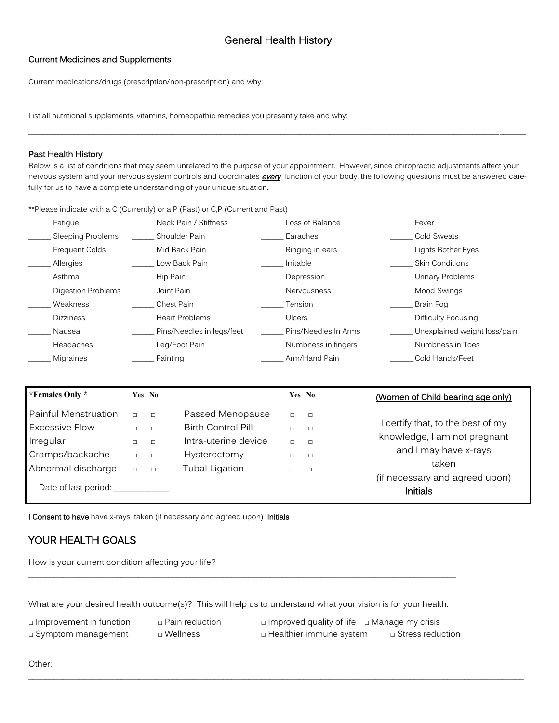\_\_\_\_\_\_\_\_\_\_\_\_\_\_\_\_\_\_\_\_\_\_\_\_\_\_\_\_\_\_\_\_\_\_\_\_\_\_\_\_\_\_\_\_\_\_\_\_\_\_\_\_\_\_\_\_\_\_\_\_\_\_\_\_\_\_\_\_\_\_\_\_\_\_\_\_\_\_\_\_\_\_\_\_\_\_\_\_\_\_\_\_\_\_\_\_\_\_\_\_\_\_\_\_\_\_\_\_\_\_\_\_\_\_\_\_\_\_\_\_\_\_\_\_\_\_\_\_\_\_\_\_

\_\_\_\_\_\_\_\_\_\_\_\_\_\_\_\_\_\_\_\_\_\_\_\_\_\_\_\_\_\_\_\_\_\_\_\_\_\_\_\_\_\_\_\_\_\_\_\_\_\_\_\_\_\_\_\_\_\_\_\_\_\_\_\_\_\_\_\_\_\_\_\_\_\_\_\_\_\_\_\_\_\_\_\_\_\_\_\_\_\_\_\_\_\_\_\_\_\_\_\_\_\_\_\_\_\_\_\_\_\_\_\_\_\_\_\_\_\_\_\_\_\_\_\_\_\_\_\_\_\_\_\_

# Current Medicines and Supplements

Current medications/drugs (prescription/non-prescription) and why:

List all nutritional supplements, vitamins, homeopathic remedies you presently take and why:

#### Past Health History

Below is a list of conditions that may seem unrelated to the purpose of your appointment. However, since chiropractic adjustments affect your nervous system and your nervous system controls and coordinates **every** function of your body, the following questions must be answered carefully for us to have a complete understanding of your unique situation.

\*\*Please indicate with a C (Currently) or a P (Past) or C,P (Current and Past)

| Fatigue                   | Neck Pain / Stiffness     | Loss of Balance      | Fever                        |
|---------------------------|---------------------------|----------------------|------------------------------|
| Sleeping Problems         | Shoulder Pain             | Earaches             | Cold Sweats                  |
| <b>Frequent Colds</b>     | Mid Back Pain             | Ringing in ears      | Lights Bother Eyes           |
| Allergies                 | Low Back Pain             | Irritable            | <b>Skin Conditions</b>       |
| Asthma                    | Hip Pain                  | Depression           | Urinary Problems             |
| <b>Digestion Problems</b> | Joint Pain                | Nervousness          | Mood Swings                  |
| Weakness                  | Chest Pain                | Tension              | <b>Brain Fog</b>             |
| <b>Dizziness</b>          | <b>Heart Problems</b>     | <b>Ulcers</b>        | Difficulty Focusing          |
| Nausea                    | Pins/Needles in legs/feet | Pins/Needles In Arms | Unexplained weight loss/gain |
| Headaches                 | Leg/Foot Pain             | Numbness in fingers  | Numbness in Toes             |
| <b>Migraines</b>          | Fainting                  | Arm/Hand Pain        | Cold Hands/Feet              |

| *Females Only *                                            |                            | Yes No                         |                                                                       |                            | Yes No                     | (Women of Child bearing age only)                                 |
|------------------------------------------------------------|----------------------------|--------------------------------|-----------------------------------------------------------------------|----------------------------|----------------------------|-------------------------------------------------------------------|
| Painful Menstruation<br><b>Excessive Flow</b><br>Irregular | $\Box$<br>$\Box$<br>$\Box$ | $\Box$<br>$\Box$<br>$\Box$     | Passed Menopause<br><b>Birth Control Pill</b><br>Intra-uterine device | $\Box$<br>$\Box$<br>$\Box$ | $\Box$<br>$\Box$<br>$\Box$ | I certify that, to the best of my<br>knowledge, I am not pregnant |
| Cramps/backache<br>Abnormal discharge                      | $\Box$<br>$\Box$           | $\qquad \qquad \Box$<br>$\Box$ | Hysterectomy<br><b>Tubal Ligation</b>                                 | $\Box$                     | $\Box$                     | and I may have x-rays<br>taken                                    |
| Date of last period: _____                                 |                            |                                |                                                                       |                            |                            | (if necessary and agreed upon)<br><b>Initials</b>                 |

 $\mathcal{L}_\mathcal{L} = \{ \mathcal{L}_\mathcal{L} = \{ \mathcal{L}_\mathcal{L} = \{ \mathcal{L}_\mathcal{L} = \{ \mathcal{L}_\mathcal{L} = \{ \mathcal{L}_\mathcal{L} = \{ \mathcal{L}_\mathcal{L} = \{ \mathcal{L}_\mathcal{L} = \{ \mathcal{L}_\mathcal{L} = \{ \mathcal{L}_\mathcal{L} = \{ \mathcal{L}_\mathcal{L} = \{ \mathcal{L}_\mathcal{L} = \{ \mathcal{L}_\mathcal{L} = \{ \mathcal{L}_\mathcal{L} = \{ \mathcal{L}_\mathcal{$ 

I Consent to have have x-rays taken (if necessary and agreed upon) Initials

# YOUR HEALTH GOALS

How is your current condition affecting your life?

What are your desired health outcome(s)? This will help us to understand what your vision is for your health.

\_\_\_\_\_\_\_\_\_\_\_\_\_\_\_\_\_\_\_\_\_\_\_\_\_\_\_\_\_\_\_\_\_\_\_\_\_\_\_\_\_\_\_\_\_\_\_\_\_\_\_\_\_\_\_\_\_\_\_\_\_\_\_\_\_\_\_\_\_\_\_\_\_\_\_\_\_\_\_\_\_\_\_\_\_\_\_\_\_\_\_\_\_\_\_\_\_\_\_\_\_

□ Improvement in function □ Pain reduction □ Improved quality of life □ Manage my crisis □ Symptom management □ Wellness □ □ Healthier immune system □ Stress reduction

Other: